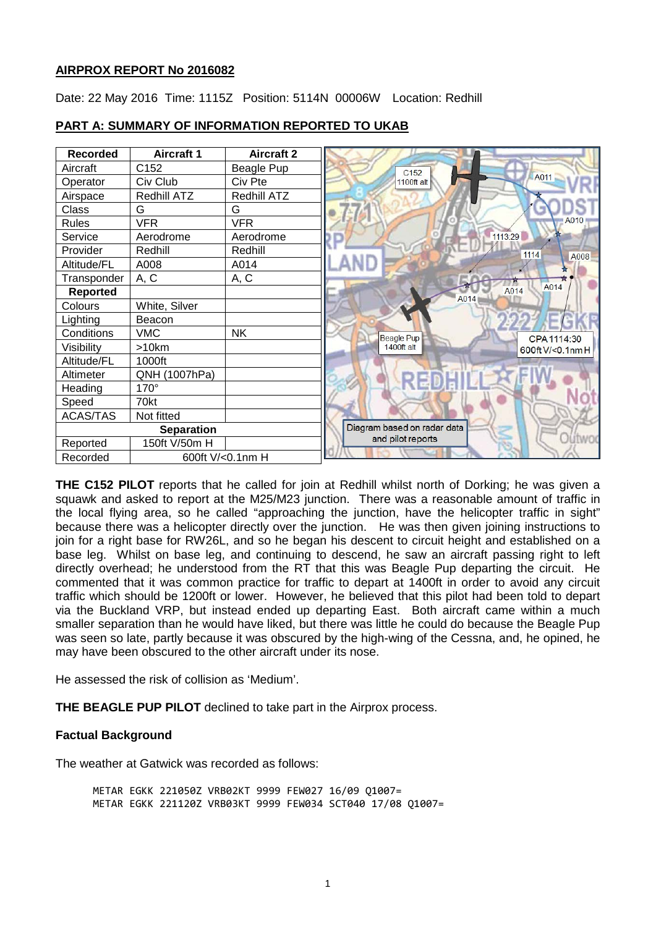## **AIRPROX REPORT No 2016082**

Date: 22 May 2016 Time: 1115Z Position: 5114N 00006W Location: Redhill



## **PART A: SUMMARY OF INFORMATION REPORTED TO UKAB**

**THE C152 PILOT** reports that he called for join at Redhill whilst north of Dorking; he was given a squawk and asked to report at the M25/M23 junction. There was a reasonable amount of traffic in the local flying area, so he called "approaching the junction, have the helicopter traffic in sight" because there was a helicopter directly over the junction. He was then given joining instructions to join for a right base for RW26L, and so he began his descent to circuit height and established on a base leg. Whilst on base leg, and continuing to descend, he saw an aircraft passing right to left directly overhead; he understood from the RT that this was Beagle Pup departing the circuit. He commented that it was common practice for traffic to depart at 1400ft in order to avoid any circuit traffic which should be 1200ft or lower. However, he believed that this pilot had been told to depart via the Buckland VRP, but instead ended up departing East. Both aircraft came within a much smaller separation than he would have liked, but there was little he could do because the Beagle Pup was seen so late, partly because it was obscured by the high-wing of the Cessna, and, he opined, he may have been obscured to the other aircraft under its nose.

He assessed the risk of collision as 'Medium'.

**THE BEAGLE PUP PILOT** declined to take part in the Airprox process.

## **Factual Background**

The weather at Gatwick was recorded as follows:

METAR EGKK 221050Z VRB02KT 9999 FEW027 16/09 Q1007= METAR EGKK 221120Z VRB03KT 9999 FEW034 SCT040 17/08 Q1007=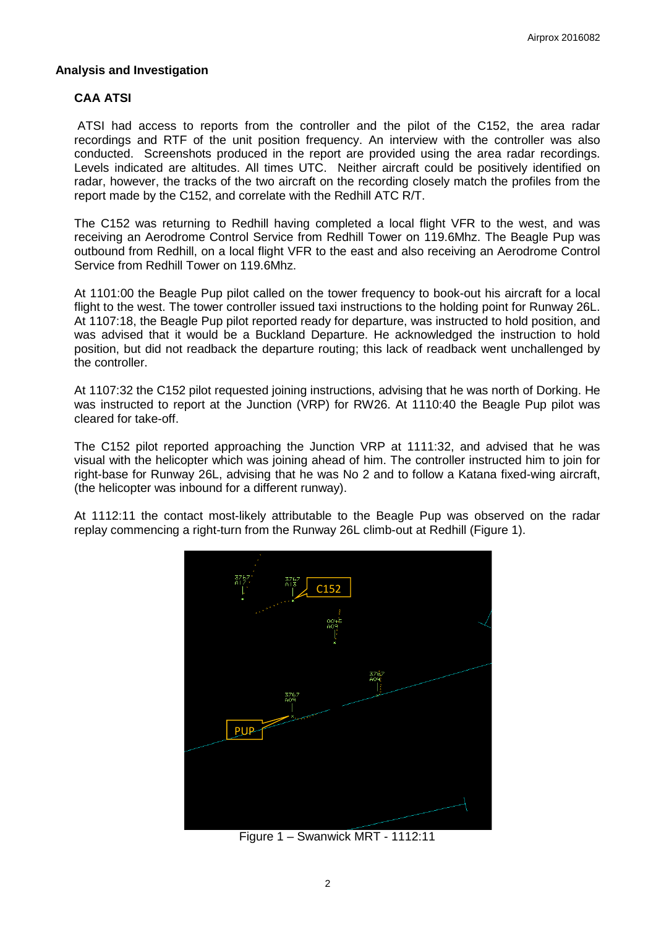## **Analysis and Investigation**

## **CAA ATSI**

ATSI had access to reports from the controller and the pilot of the C152, the area radar recordings and RTF of the unit position frequency. An interview with the controller was also conducted. Screenshots produced in the report are provided using the area radar recordings. Levels indicated are altitudes. All times UTC. Neither aircraft could be positively identified on radar, however, the tracks of the two aircraft on the recording closely match the profiles from the report made by the C152, and correlate with the Redhill ATC R/T.

The C152 was returning to Redhill having completed a local flight VFR to the west, and was receiving an Aerodrome Control Service from Redhill Tower on 119.6Mhz. The Beagle Pup was outbound from Redhill, on a local flight VFR to the east and also receiving an Aerodrome Control Service from Redhill Tower on 119.6Mhz.

At 1101:00 the Beagle Pup pilot called on the tower frequency to book-out his aircraft for a local flight to the west. The tower controller issued taxi instructions to the holding point for Runway 26L. At 1107:18, the Beagle Pup pilot reported ready for departure, was instructed to hold position, and was advised that it would be a Buckland Departure. He acknowledged the instruction to hold position, but did not readback the departure routing; this lack of readback went unchallenged by the controller.

At 1107:32 the C152 pilot requested joining instructions, advising that he was north of Dorking. He was instructed to report at the Junction (VRP) for RW26. At 1110:40 the Beagle Pup pilot was cleared for take-off.

The C152 pilot reported approaching the Junction VRP at 1111:32, and advised that he was visual with the helicopter which was joining ahead of him. The controller instructed him to join for right-base for Runway 26L, advising that he was No 2 and to follow a Katana fixed-wing aircraft, (the helicopter was inbound for a different runway).

At 1112:11 the contact most-likely attributable to the Beagle Pup was observed on the radar replay commencing a right-turn from the Runway 26L climb-out at Redhill (Figure 1).



Figure 1 – Swanwick MRT - 1112:11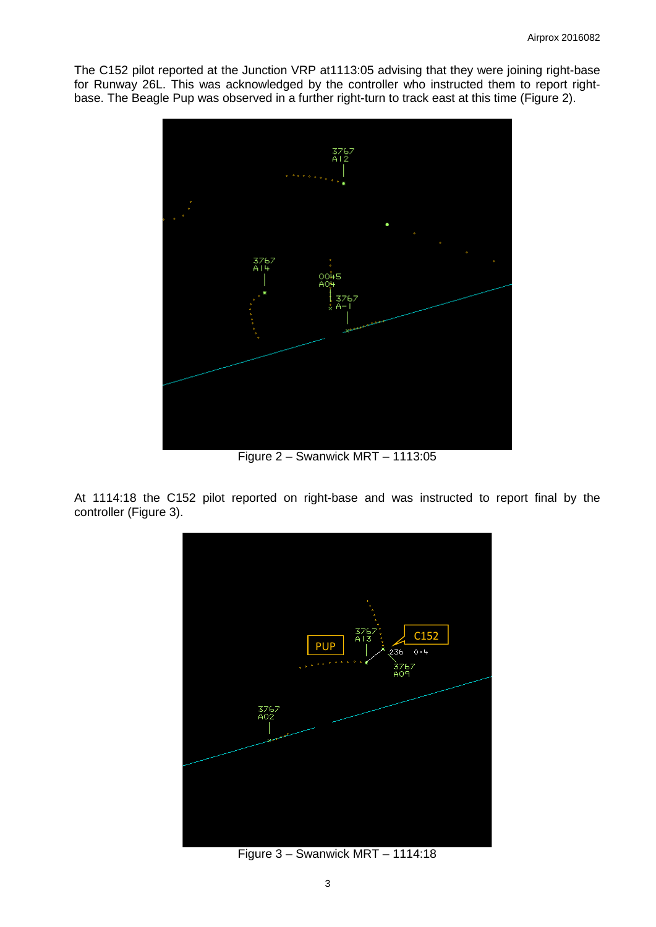The C152 pilot reported at the Junction VRP at1113:05 advising that they were joining right-base for Runway 26L. This was acknowledged by the controller who instructed them to report rightbase. The Beagle Pup was observed in a further right-turn to track east at this time (Figure 2).



Figure 2 – Swanwick MRT – 1113:05

At 1114:18 the C152 pilot reported on right-base and was instructed to report final by the controller (Figure 3).



Figure 3 – Swanwick MRT – 1114:18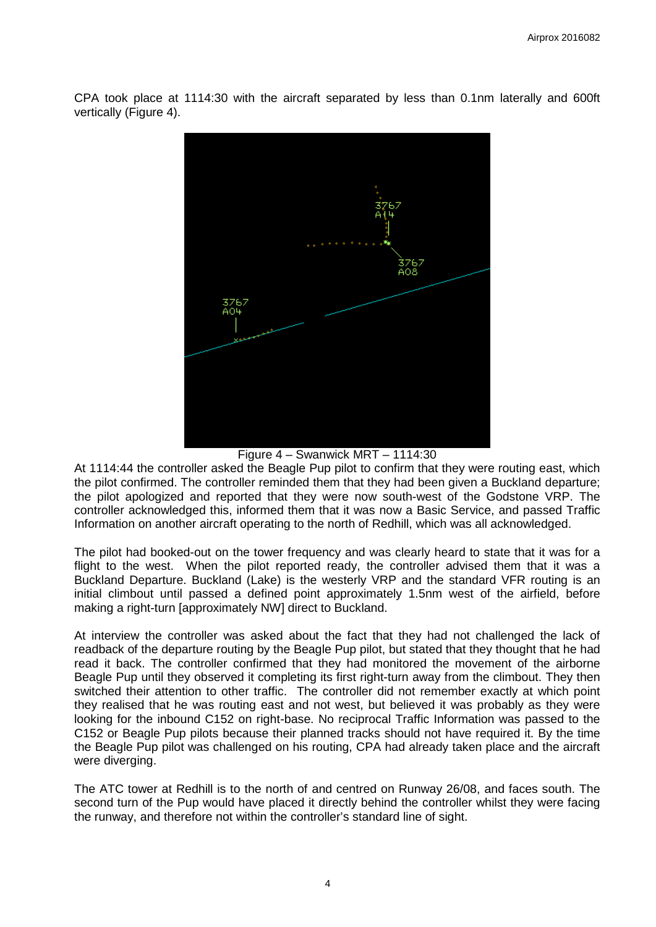CPA took place at 1114:30 with the aircraft separated by less than 0.1nm laterally and 600ft vertically (Figure 4).



Figure 4 – Swanwick MRT – 1114:30

At 1114:44 the controller asked the Beagle Pup pilot to confirm that they were routing east, which the pilot confirmed. The controller reminded them that they had been given a Buckland departure; the pilot apologized and reported that they were now south-west of the Godstone VRP. The controller acknowledged this, informed them that it was now a Basic Service, and passed Traffic Information on another aircraft operating to the north of Redhill, which was all acknowledged.

The pilot had booked-out on the tower frequency and was clearly heard to state that it was for a flight to the west. When the pilot reported ready, the controller advised them that it was a Buckland Departure. Buckland (Lake) is the westerly VRP and the standard VFR routing is an initial climbout until passed a defined point approximately 1.5nm west of the airfield, before making a right-turn [approximately NW] direct to Buckland.

At interview the controller was asked about the fact that they had not challenged the lack of readback of the departure routing by the Beagle Pup pilot, but stated that they thought that he had read it back. The controller confirmed that they had monitored the movement of the airborne Beagle Pup until they observed it completing its first right-turn away from the climbout. They then switched their attention to other traffic. The controller did not remember exactly at which point they realised that he was routing east and not west, but believed it was probably as they were looking for the inbound C152 on right-base. No reciprocal Traffic Information was passed to the C152 or Beagle Pup pilots because their planned tracks should not have required it. By the time the Beagle Pup pilot was challenged on his routing, CPA had already taken place and the aircraft were diverging.

The ATC tower at Redhill is to the north of and centred on Runway 26/08, and faces south. The second turn of the Pup would have placed it directly behind the controller whilst they were facing the runway, and therefore not within the controller's standard line of sight.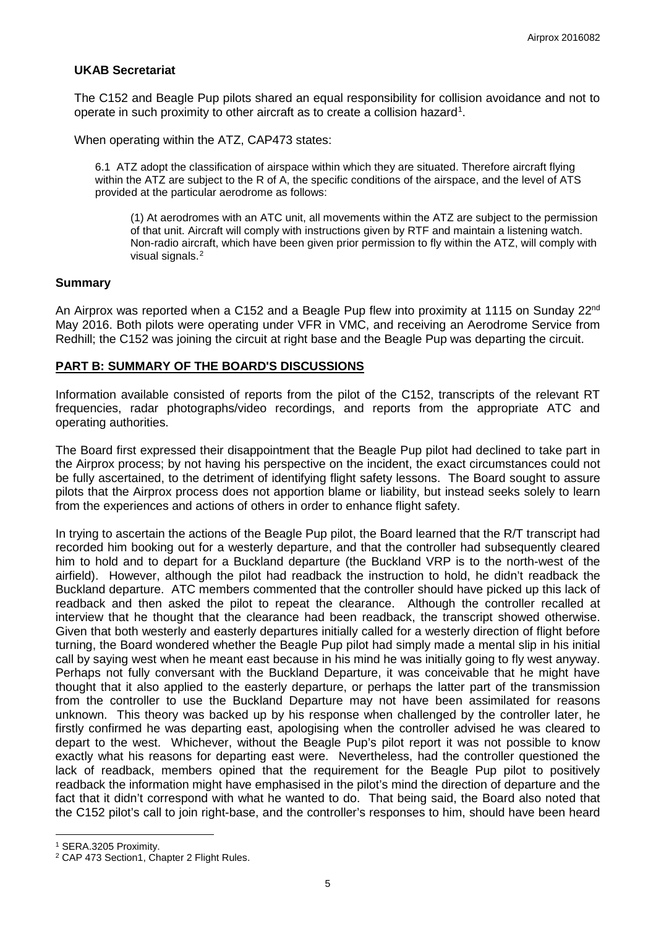## **UKAB Secretariat**

The C152 and Beagle Pup pilots shared an equal responsibility for collision avoidance and not to operate in such proximity to other aircraft as to create a collision hazard<sup>[1](#page-4-0)</sup>.

When operating within the ATZ, CAP473 states:

6.1 ATZ adopt the classification of airspace within which they are situated. Therefore aircraft flying within the ATZ are subject to the R of A, the specific conditions of the airspace, and the level of ATS provided at the particular aerodrome as follows:

(1) At aerodromes with an ATC unit, all movements within the ATZ are subject to the permission of that unit. Aircraft will comply with instructions given by RTF and maintain a listening watch. Non-radio aircraft, which have been given prior permission to fly within the ATZ, will comply with visual signals.[2](#page-4-1)

#### **Summary**

An Airprox was reported when a C152 and a Beagle Pup flew into proximity at 1115 on Sunday 22<sup>nd</sup> May 2016. Both pilots were operating under VFR in VMC, and receiving an Aerodrome Service from Redhill; the C152 was joining the circuit at right base and the Beagle Pup was departing the circuit.

## **PART B: SUMMARY OF THE BOARD'S DISCUSSIONS**

Information available consisted of reports from the pilot of the C152, transcripts of the relevant RT frequencies, radar photographs/video recordings, and reports from the appropriate ATC and operating authorities.

The Board first expressed their disappointment that the Beagle Pup pilot had declined to take part in the Airprox process; by not having his perspective on the incident, the exact circumstances could not be fully ascertained, to the detriment of identifying flight safety lessons. The Board sought to assure pilots that the Airprox process does not apportion blame or liability, but instead seeks solely to learn from the experiences and actions of others in order to enhance flight safety.

In trying to ascertain the actions of the Beagle Pup pilot, the Board learned that the R/T transcript had recorded him booking out for a westerly departure, and that the controller had subsequently cleared him to hold and to depart for a Buckland departure (the Buckland VRP is to the north-west of the airfield). However, although the pilot had readback the instruction to hold, he didn't readback the Buckland departure. ATC members commented that the controller should have picked up this lack of readback and then asked the pilot to repeat the clearance. Although the controller recalled at interview that he thought that the clearance had been readback, the transcript showed otherwise. Given that both westerly and easterly departures initially called for a westerly direction of flight before turning, the Board wondered whether the Beagle Pup pilot had simply made a mental slip in his initial call by saying west when he meant east because in his mind he was initially going to fly west anyway. Perhaps not fully conversant with the Buckland Departure, it was conceivable that he might have thought that it also applied to the easterly departure, or perhaps the latter part of the transmission from the controller to use the Buckland Departure may not have been assimilated for reasons unknown. This theory was backed up by his response when challenged by the controller later, he firstly confirmed he was departing east, apologising when the controller advised he was cleared to depart to the west. Whichever, without the Beagle Pup's pilot report it was not possible to know exactly what his reasons for departing east were. Nevertheless, had the controller questioned the lack of readback, members opined that the requirement for the Beagle Pup pilot to positively readback the information might have emphasised in the pilot's mind the direction of departure and the fact that it didn't correspond with what he wanted to do. That being said, the Board also noted that the C152 pilot's call to join right-base, and the controller's responses to him, should have been heard

l

<span id="page-4-0"></span><sup>1</sup> SERA.3205 Proximity.

<span id="page-4-1"></span><sup>&</sup>lt;sup>2</sup> CAP 473 Section1, Chapter 2 Flight Rules.